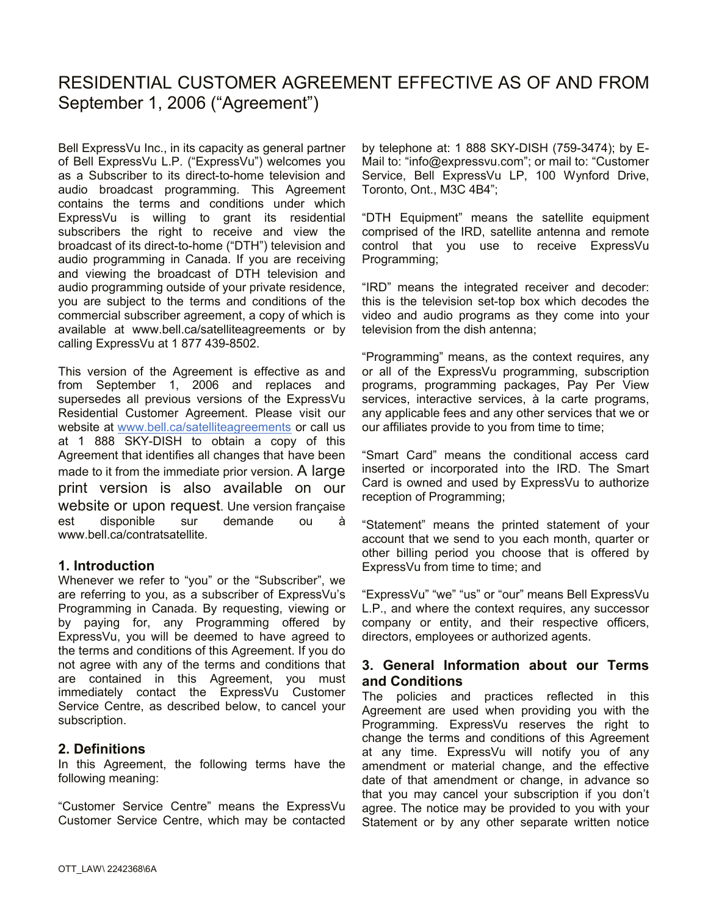# RESIDENTIAL CUSTOMER AGREEMENT EFFECTIVE AS OF AND FROM September 1, 2006 ("Agreement")

Bell ExpressVu Inc., in its capacity as general partner of Bell ExpressVu L.P. ("ExpressVu") welcomes you as a Subscriber to its direct-to-home television and audio broadcast programming. This Agreement contains the terms and conditions under which ExpressVu is willing to grant its residential subscribers the right to receive and view the broadcast of its direct-to-home ("DTH") television and audio programming in Canada. If you are receiving and viewing the broadcast of DTH television and audio programming outside of your private residence, you are subject to the terms and conditions of the commercial subscriber agreement, a copy of which is available at www.bell.ca/satelliteagreements or by calling ExpressVu at 1 877 439-8502.

This version of the Agreement is effective as and from September 1, 2006 and replaces and supersedes all previous versions of the ExpressVu Residential Customer Agreement. Please visit our website at www.bell.ca/satelliteagreements or call us at 1 888 SKY-DISH to obtain a copy of this Agreement that identifies all changes that have been made to it from the immediate prior version. A large print version is also available on our website or upon request. Une version française est disponible sur demande ou à www.bell.ca/contratsatellite.

# **1. Introduction**

Whenever we refer to "you" or the "Subscriber", we are referring to you, as a subscriber of ExpressVu's Programming in Canada. By requesting, viewing or by paying for, any Programming offered by ExpressVu, you will be deemed to have agreed to the terms and conditions of this Agreement. If you do not agree with any of the terms and conditions that are contained in this Agreement, you must immediately contact the ExpressVu Customer Service Centre, as described below, to cancel your subscription.

# **2. Definitions**

In this Agreement, the following terms have the following meaning:

"Customer Service Centre" means the ExpressVu Customer Service Centre, which may be contacted by telephone at: 1 888 SKY-DISH (759-3474); by E-Mail to: "info@expressvu.com"; or mail to: "Customer Service, Bell ExpressVu LP, 100 Wynford Drive, Toronto, Ont., M3C 4B4";

"DTH Equipment" means the satellite equipment comprised of the IRD, satellite antenna and remote control that you use to receive ExpressVu Programming;

"IRD" means the integrated receiver and decoder: this is the television set-top box which decodes the video and audio programs as they come into your television from the dish antenna;

"Programming" means, as the context requires, any or all of the ExpressVu programming, subscription programs, programming packages, Pay Per View services, interactive services, à la carte programs, any applicable fees and any other services that we or our affiliates provide to you from time to time;

"Smart Card" means the conditional access card inserted or incorporated into the IRD. The Smart Card is owned and used by ExpressVu to authorize reception of Programming;

"Statement" means the printed statement of your account that we send to you each month, quarter or other billing period you choose that is offered by ExpressVu from time to time; and

"ExpressVu" "we" "us" or "our" means Bell ExpressVu L.P., and where the context requires, any successor company or entity, and their respective officers, directors, employees or authorized agents.

# **3. General Information about our Terms and Conditions**

The policies and practices reflected in this Agreement are used when providing you with the Programming. ExpressVu reserves the right to change the terms and conditions of this Agreement at any time. ExpressVu will notify you of any amendment or material change, and the effective date of that amendment or change, in advance so that you may cancel your subscription if you don't agree. The notice may be provided to you with your Statement or by any other separate written notice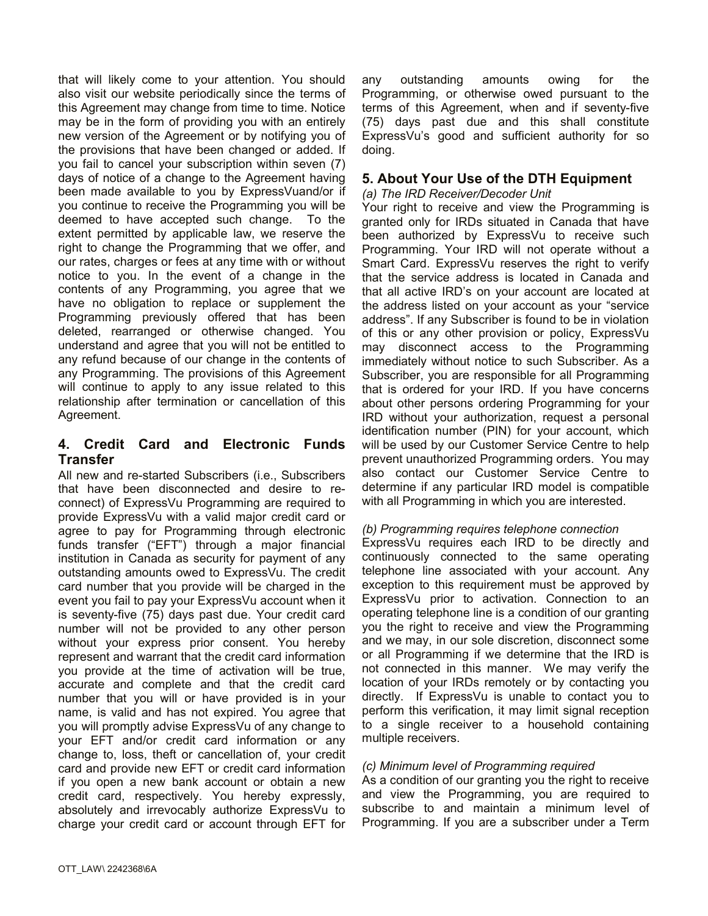that will likely come to your attention. You should also visit our website periodically since the terms of this Agreement may change from time to time. Notice may be in the form of providing you with an entirely new version of the Agreement or by notifying you of the provisions that have been changed or added. If you fail to cancel your subscription within seven (7) days of notice of a change to the Agreement having been made available to you by ExpressVuand/or if you continue to receive the Programming you will be deemed to have accepted such change. To the extent permitted by applicable law, we reserve the right to change the Programming that we offer, and our rates, charges or fees at any time with or without notice to you. In the event of a change in the contents of any Programming, you agree that we have no obligation to replace or supplement the Programming previously offered that has been deleted, rearranged or otherwise changed. You understand and agree that you will not be entitled to any refund because of our change in the contents of any Programming. The provisions of this Agreement will continue to apply to any issue related to this relationship after termination or cancellation of this Agreement.

# **4. Credit Card and Electronic Funds Transfer**

All new and re-started Subscribers (i.e., Subscribers that have been disconnected and desire to reconnect) of ExpressVu Programming are required to provide ExpressVu with a valid major credit card or agree to pay for Programming through electronic funds transfer ("EFT") through a major financial institution in Canada as security for payment of any outstanding amounts owed to ExpressVu. The credit card number that you provide will be charged in the event you fail to pay your ExpressVu account when it is seventy-five (75) days past due. Your credit card number will not be provided to any other person without your express prior consent. You hereby represent and warrant that the credit card information you provide at the time of activation will be true, accurate and complete and that the credit card number that you will or have provided is in your name, is valid and has not expired. You agree that you will promptly advise ExpressVu of any change to your EFT and/or credit card information or any change to, loss, theft or cancellation of, your credit card and provide new EFT or credit card information if you open a new bank account or obtain a new credit card, respectively. You hereby expressly, absolutely and irrevocably authorize ExpressVu to charge your credit card or account through EFT for

any outstanding amounts owing for the Programming, or otherwise owed pursuant to the terms of this Agreement, when and if seventy-five (75) days past due and this shall constitute ExpressVu's good and sufficient authority for so doing.

# **5. About Your Use of the DTH Equipment**

### *(a) The IRD Receiver/Decoder Unit*

Your right to receive and view the Programming is granted only for IRDs situated in Canada that have been authorized by ExpressVu to receive such Programming. Your IRD will not operate without a Smart Card. ExpressVu reserves the right to verify that the service address is located in Canada and that all active IRD's on your account are located at the address listed on your account as your "service address". If any Subscriber is found to be in violation of this or any other provision or policy, ExpressVu may disconnect access to the Programming immediately without notice to such Subscriber. As a Subscriber, you are responsible for all Programming that is ordered for your IRD. If you have concerns about other persons ordering Programming for your IRD without your authorization, request a personal identification number (PIN) for your account, which will be used by our Customer Service Centre to help prevent unauthorized Programming orders. You may also contact our Customer Service Centre to determine if any particular IRD model is compatible with all Programming in which you are interested.

# *(b) Programming requires telephone connection*

ExpressVu requires each IRD to be directly and continuously connected to the same operating telephone line associated with your account. Any exception to this requirement must be approved by ExpressVu prior to activation. Connection to an operating telephone line is a condition of our granting you the right to receive and view the Programming and we may, in our sole discretion, disconnect some or all Programming if we determine that the IRD is not connected in this manner. We may verify the location of your IRDs remotely or by contacting you directly. If ExpressVu is unable to contact you to perform this verification, it may limit signal reception to a single receiver to a household containing multiple receivers.

#### *(c) Minimum level of Programming required*

As a condition of our granting you the right to receive and view the Programming, you are required to subscribe to and maintain a minimum level of Programming. If you are a subscriber under a Term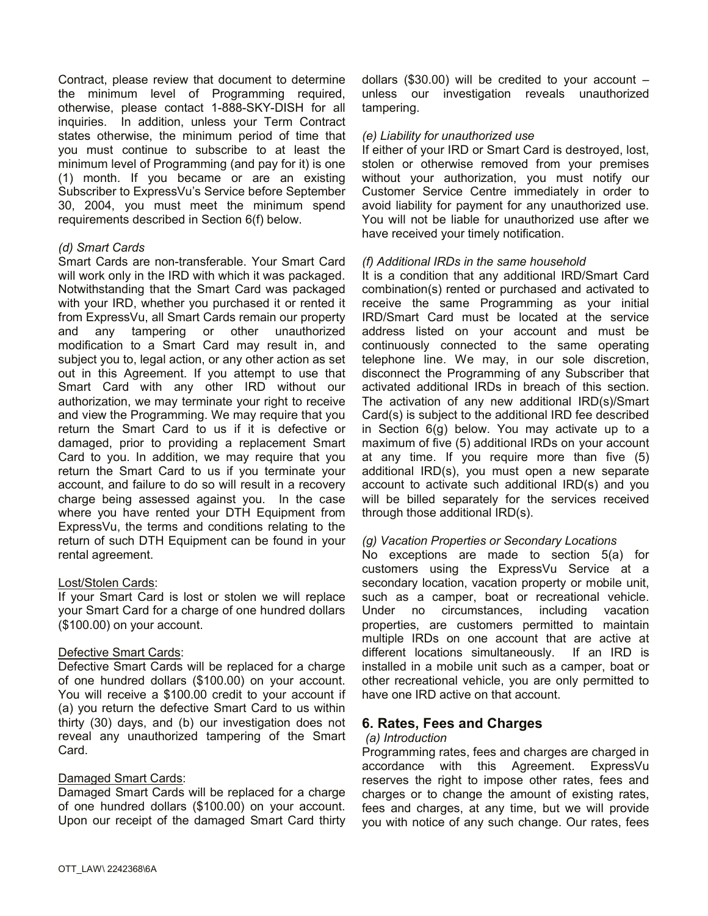Contract, please review that document to determine the minimum level of Programming required, otherwise, please contact 1-888-SKY-DISH for all inquiries. In addition, unless your Term Contract states otherwise, the minimum period of time that you must continue to subscribe to at least the minimum level of Programming (and pay for it) is one (1) month. If you became or are an existing Subscriber to ExpressVu's Service before September 30, 2004, you must meet the minimum spend requirements described in Section 6(f) below.

### *(d) Smart Cards*

Smart Cards are non-transferable. Your Smart Card will work only in the IRD with which it was packaged. Notwithstanding that the Smart Card was packaged with your IRD, whether you purchased it or rented it from ExpressVu, all Smart Cards remain our property and any tampering or other unauthorized modification to a Smart Card may result in, and subject you to, legal action, or any other action as set out in this Agreement. If you attempt to use that Smart Card with any other IRD without our authorization, we may terminate your right to receive and view the Programming. We may require that you return the Smart Card to us if it is defective or damaged, prior to providing a replacement Smart Card to you. In addition, we may require that you return the Smart Card to us if you terminate your account, and failure to do so will result in a recovery charge being assessed against you. In the case where you have rented your DTH Equipment from ExpressVu, the terms and conditions relating to the return of such DTH Equipment can be found in your rental agreement.

# Lost/Stolen Cards:

If your Smart Card is lost or stolen we will replace your Smart Card for a charge of one hundred dollars (\$100.00) on your account.

#### Defective Smart Cards:

Defective Smart Cards will be replaced for a charge of one hundred dollars (\$100.00) on your account. You will receive a \$100.00 credit to your account if (a) you return the defective Smart Card to us within thirty (30) days, and (b) our investigation does not reveal any unauthorized tampering of the Smart Card.

# Damaged Smart Cards:

Damaged Smart Cards will be replaced for a charge of one hundred dollars (\$100.00) on your account. Upon our receipt of the damaged Smart Card thirty dollars (\$30.00) will be credited to your account  $$ unless our investigation reveals unauthorized tampering.

#### *(e) Liability for unauthorized use*

If either of your IRD or Smart Card is destroyed, lost, stolen or otherwise removed from your premises without your authorization, you must notify our Customer Service Centre immediately in order to avoid liability for payment for any unauthorized use. You will not be liable for unauthorized use after we have received your timely notification.

#### *(f) Additional IRDs in the same household*

It is a condition that any additional IRD/Smart Card combination(s) rented or purchased and activated to receive the same Programming as your initial IRD/Smart Card must be located at the service address listed on your account and must be continuously connected to the same operating telephone line. We may, in our sole discretion, disconnect the Programming of any Subscriber that activated additional IRDs in breach of this section. The activation of any new additional IRD(s)/Smart Card(s) is subject to the additional IRD fee described in Section 6(g) below. You may activate up to a maximum of five (5) additional IRDs on your account at any time. If you require more than five (5) additional IRD(s), you must open a new separate account to activate such additional IRD(s) and you will be billed separately for the services received through those additional IRD(s).

#### *(g) Vacation Properties or Secondary Locations*

No exceptions are made to section 5(a) for customers using the ExpressVu Service at a secondary location, vacation property or mobile unit, such as a camper, boat or recreational vehicle. Under no circumstances, including vacation properties, are customers permitted to maintain multiple IRDs on one account that are active at different locations simultaneously. If an IRD is installed in a mobile unit such as a camper, boat or other recreational vehicle, you are only permitted to have one IRD active on that account.

# **6. Rates, Fees and Charges**

#### *(a) Introduction*

Programming rates, fees and charges are charged in accordance with this Agreement. ExpressVu reserves the right to impose other rates, fees and charges or to change the amount of existing rates, fees and charges, at any time, but we will provide you with notice of any such change. Our rates, fees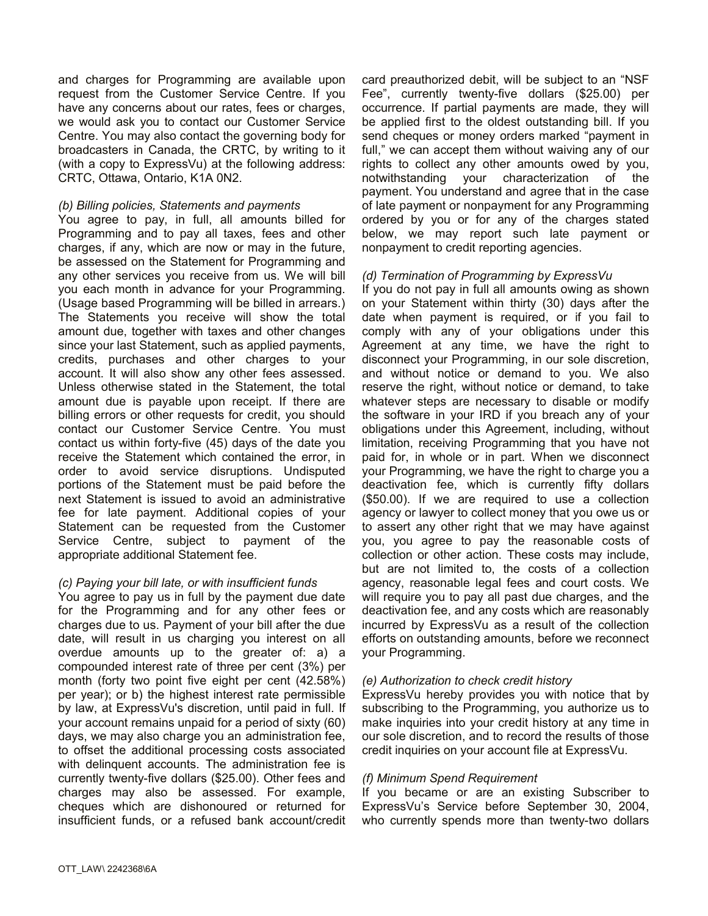and charges for Programming are available upon request from the Customer Service Centre. If you have any concerns about our rates, fees or charges, we would ask you to contact our Customer Service Centre. You may also contact the governing body for broadcasters in Canada, the CRTC, by writing to it (with a copy to ExpressVu) at the following address: CRTC, Ottawa, Ontario, K1A 0N2.

#### *(b) Billing policies, Statements and payments*

You agree to pay, in full, all amounts billed for Programming and to pay all taxes, fees and other charges, if any, which are now or may in the future, be assessed on the Statement for Programming and any other services you receive from us. We will bill you each month in advance for your Programming. (Usage based Programming will be billed in arrears.) The Statements you receive will show the total amount due, together with taxes and other changes since your last Statement, such as applied payments, credits, purchases and other charges to your account. It will also show any other fees assessed. Unless otherwise stated in the Statement, the total amount due is payable upon receipt. If there are billing errors or other requests for credit, you should contact our Customer Service Centre. You must contact us within forty-five (45) days of the date you receive the Statement which contained the error, in order to avoid service disruptions. Undisputed portions of the Statement must be paid before the next Statement is issued to avoid an administrative fee for late payment. Additional copies of your Statement can be requested from the Customer Service Centre, subject to payment of the appropriate additional Statement fee.

#### *(c) Paying your bill late, or with insufficient funds*

You agree to pay us in full by the payment due date for the Programming and for any other fees or charges due to us. Payment of your bill after the due date, will result in us charging you interest on all overdue amounts up to the greater of: a) a compounded interest rate of three per cent (3%) per month (forty two point five eight per cent (42.58%) per year); or b) the highest interest rate permissible by law, at ExpressVu's discretion, until paid in full. If your account remains unpaid for a period of sixty (60) days, we may also charge you an administration fee, to offset the additional processing costs associated with delinquent accounts. The administration fee is currently twenty-five dollars (\$25.00). Other fees and charges may also be assessed. For example, cheques which are dishonoured or returned for insufficient funds, or a refused bank account/credit

card preauthorized debit, will be subject to an "NSF Fee", currently twenty-five dollars (\$25.00) per occurrence. If partial payments are made, they will be applied first to the oldest outstanding bill. If you send cheques or money orders marked "payment in full," we can accept them without waiving any of our rights to collect any other amounts owed by you, notwithstanding your characterization of the payment. You understand and agree that in the case of late payment or nonpayment for any Programming ordered by you or for any of the charges stated below, we may report such late payment or nonpayment to credit reporting agencies.

#### *(d) Termination of Programming by ExpressVu*

If you do not pay in full all amounts owing as shown on your Statement within thirty (30) days after the date when payment is required, or if you fail to comply with any of your obligations under this Agreement at any time, we have the right to disconnect your Programming, in our sole discretion, and without notice or demand to you. We also reserve the right, without notice or demand, to take whatever steps are necessary to disable or modify the software in your IRD if you breach any of your obligations under this Agreement, including, without limitation, receiving Programming that you have not paid for, in whole or in part. When we disconnect your Programming, we have the right to charge you a deactivation fee, which is currently fifty dollars (\$50.00). If we are required to use a collection agency or lawyer to collect money that you owe us or to assert any other right that we may have against you, you agree to pay the reasonable costs of collection or other action. These costs may include, but are not limited to, the costs of a collection agency, reasonable legal fees and court costs. We will require you to pay all past due charges, and the deactivation fee, and any costs which are reasonably incurred by ExpressVu as a result of the collection efforts on outstanding amounts, before we reconnect your Programming.

#### *(e) Authorization to check credit history*

ExpressVu hereby provides you with notice that by subscribing to the Programming, you authorize us to make inquiries into your credit history at any time in our sole discretion, and to record the results of those credit inquiries on your account file at ExpressVu.

#### *(f) Minimum Spend Requirement*

If you became or are an existing Subscriber to ExpressVu's Service before September 30, 2004, who currently spends more than twenty-two dollars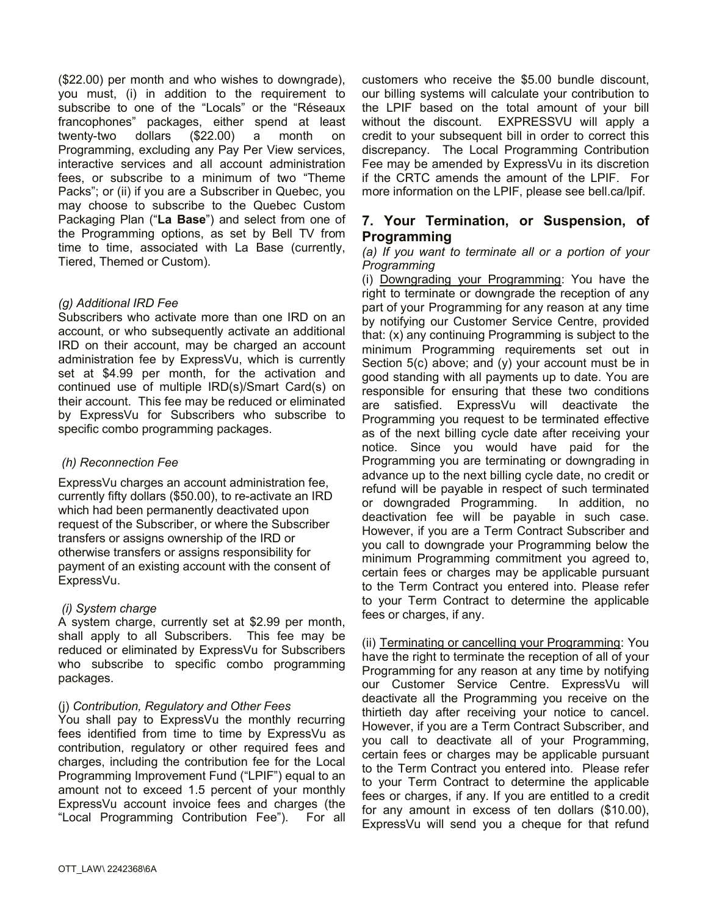(\$22.00) per month and who wishes to downgrade), you must, (i) in addition to the requirement to subscribe to one of the "Locals" or the "Réseaux francophones" packages, either spend at least twenty-two dollars (\$22.00) a month on Programming, excluding any Pay Per View services, interactive services and all account administration fees, or subscribe to a minimum of two "Theme Packs"; or (ii) if you are a Subscriber in Quebec, you may choose to subscribe to the Quebec Custom Packaging Plan ("**La Base**") and select from one of the Programming options, as set by Bell TV from time to time, associated with La Base (currently, Tiered, Themed or Custom).

#### *(g) Additional IRD Fee*

Subscribers who activate more than one IRD on an account, or who subsequently activate an additional IRD on their account, may be charged an account administration fee by ExpressVu, which is currently set at \$4.99 per month, for the activation and continued use of multiple IRD(s)/Smart Card(s) on their account. This fee may be reduced or eliminated by ExpressVu for Subscribers who subscribe to specific combo programming packages.

# *(h) Reconnection Fee*

ExpressVu charges an account administration fee, currently fifty dollars (\$50.00), to re-activate an IRD which had been permanently deactivated upon request of the Subscriber, or where the Subscriber transfers or assigns ownership of the IRD or otherwise transfers or assigns responsibility for payment of an existing account with the consent of ExpressVu.

# *(i) System charge*

A system charge, currently set at \$2.99 per month, shall apply to all Subscribers. This fee may be reduced or eliminated by ExpressVu for Subscribers who subscribe to specific combo programming packages.

# (j) *Contribution, Regulatory and Other Fees*

You shall pay to ExpressVu the monthly recurring fees identified from time to time by ExpressVu as contribution, regulatory or other required fees and charges, including the contribution fee for the Local Programming Improvement Fund ("LPIF") equal to an amount not to exceed 1.5 percent of your monthly ExpressVu account invoice fees and charges (the "Local Programming Contribution Fee"). For all customers who receive the \$5.00 bundle discount, our billing systems will calculate your contribution to the LPIF based on the total amount of your bill without the discount. EXPRESSVU will apply a credit to your subsequent bill in order to correct this discrepancy. The Local Programming Contribution Fee may be amended by ExpressVu in its discretion if the CRTC amends the amount of the LPIF. For more information on the LPIF, please see bell.ca/lpif.

# **7. Your Termination, or Suspension, of Programming**

#### *(a) If you want to terminate all or a portion of your Programming*

(i) Downgrading your Programming: You have the right to terminate or downgrade the reception of any part of your Programming for any reason at any time by notifying our Customer Service Centre, provided that: (x) any continuing Programming is subject to the minimum Programming requirements set out in Section 5(c) above; and (y) your account must be in good standing with all payments up to date. You are responsible for ensuring that these two conditions are satisfied. ExpressVu will deactivate the Programming you request to be terminated effective as of the next billing cycle date after receiving your notice. Since you would have paid for the Programming you are terminating or downgrading in advance up to the next billing cycle date, no credit or refund will be payable in respect of such terminated or downgraded Programming. In addition, no deactivation fee will be payable in such case. However, if you are a Term Contract Subscriber and you call to downgrade your Programming below the minimum Programming commitment you agreed to, certain fees or charges may be applicable pursuant to the Term Contract you entered into. Please refer to your Term Contract to determine the applicable fees or charges, if any.

(ii) Terminating or cancelling your Programming: You have the right to terminate the reception of all of your Programming for any reason at any time by notifying our Customer Service Centre. ExpressVu will deactivate all the Programming you receive on the thirtieth day after receiving your notice to cancel. However, if you are a Term Contract Subscriber, and you call to deactivate all of your Programming, certain fees or charges may be applicable pursuant to the Term Contract you entered into. Please refer to your Term Contract to determine the applicable fees or charges, if any. If you are entitled to a credit for any amount in excess of ten dollars (\$10.00), ExpressVu will send you a cheque for that refund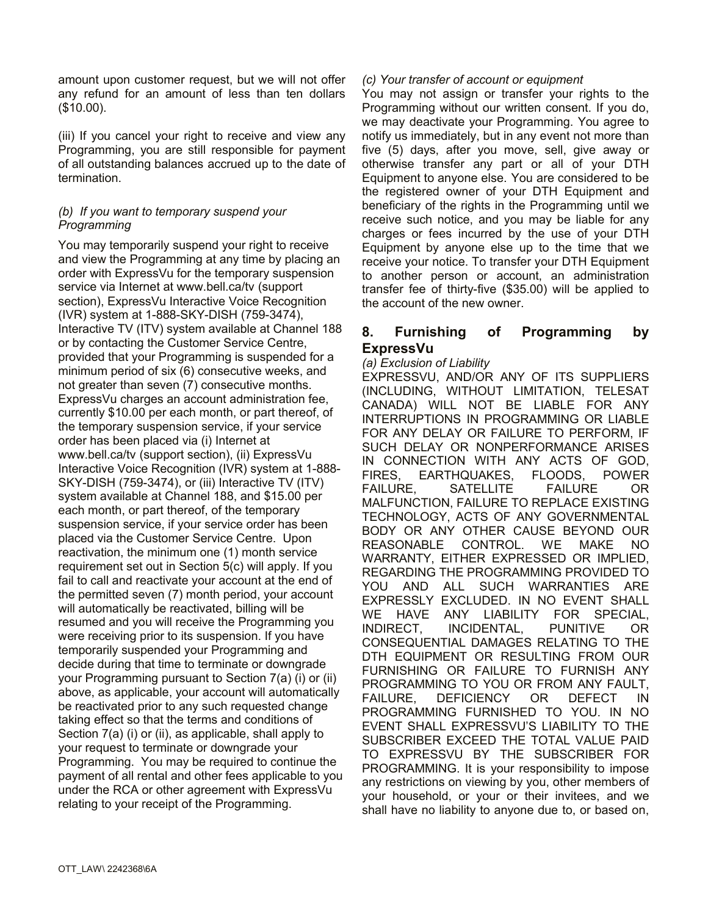amount upon customer request, but we will not offer any refund for an amount of less than ten dollars (\$10.00).

(iii) If you cancel your right to receive and view any Programming, you are still responsible for payment of all outstanding balances accrued up to the date of termination.

#### *(b) If you want to temporary suspend your Programming*

You may temporarily suspend your right to receive and view the Programming at any time by placing an order with ExpressVu for the temporary suspension service via Internet at www.bell.ca/tv (support section), ExpressVu Interactive Voice Recognition (IVR) system at 1-888-SKY-DISH (759-3474), Interactive TV (ITV) system available at Channel 188 or by contacting the Customer Service Centre, provided that your Programming is suspended for a minimum period of six (6) consecutive weeks, and not greater than seven (7) consecutive months. ExpressVu charges an account administration fee, currently \$10.00 per each month, or part thereof, of the temporary suspension service, if your service order has been placed via (i) Internet at www.bell.ca/tv (support section), (ii) ExpressVu Interactive Voice Recognition (IVR) system at 1-888- SKY-DISH (759-3474), or (iii) Interactive TV (ITV) system available at Channel 188, and \$15.00 per each month, or part thereof, of the temporary suspension service, if your service order has been placed via the Customer Service Centre. Upon reactivation, the minimum one (1) month service requirement set out in Section 5(c) will apply. If you fail to call and reactivate your account at the end of the permitted seven (7) month period, your account will automatically be reactivated, billing will be resumed and you will receive the Programming you were receiving prior to its suspension. If you have temporarily suspended your Programming and decide during that time to terminate or downgrade your Programming pursuant to Section 7(a) (i) or (ii) above, as applicable, your account will automatically be reactivated prior to any such requested change taking effect so that the terms and conditions of Section 7(a) (i) or (ii), as applicable, shall apply to your request to terminate or downgrade your Programming. You may be required to continue the payment of all rental and other fees applicable to you under the RCA or other agreement with ExpressVu relating to your receipt of the Programming.

#### *(c) Your transfer of account or equipment*

You may not assign or transfer your rights to the Programming without our written consent. If you do, we may deactivate your Programming. You agree to notify us immediately, but in any event not more than five (5) days, after you move, sell, give away or otherwise transfer any part or all of your DTH Equipment to anyone else. You are considered to be the registered owner of your DTH Equipment and beneficiary of the rights in the Programming until we receive such notice, and you may be liable for any charges or fees incurred by the use of your DTH Equipment by anyone else up to the time that we receive your notice. To transfer your DTH Equipment to another person or account, an administration transfer fee of thirty-five (\$35.00) will be applied to the account of the new owner.

# **8. Furnishing of Programming by ExpressVu**

#### *(a) Exclusion of Liability*

EXPRESSVU, AND/OR ANY OF ITS SUPPLIERS (INCLUDING, WITHOUT LIMITATION, TELESAT CANADA) WILL NOT BE LIABLE FOR ANY INTERRUPTIONS IN PROGRAMMING OR LIABLE FOR ANY DELAY OR FAILURE TO PERFORM, IF SUCH DELAY OR NONPERFORMANCE ARISES IN CONNECTION WITH ANY ACTS OF GOD, FIRES, EARTHQUAKES, FLOODS, POWER FAILURE, SATELLITE FAILURE OR MALFUNCTION, FAILURE TO REPLACE EXISTING TECHNOLOGY, ACTS OF ANY GOVERNMENTAL BODY OR ANY OTHER CAUSE BEYOND OUR REASONABLE CONTROL. WE MAKE NO WARRANTY, EITHER EXPRESSED OR IMPLIED, REGARDING THE PROGRAMMING PROVIDED TO YOU AND ALL SUCH WARRANTIES ARE EXPRESSLY EXCLUDED. IN NO EVENT SHALL WE HAVE ANY LIABILITY FOR SPECIAL, INDIRECT, INCIDENTAL, PUNITIVE OR CONSEQUENTIAL DAMAGES RELATING TO THE DTH EQUIPMENT OR RESULTING FROM OUR FURNISHING OR FAILURE TO FURNISH ANY PROGRAMMING TO YOU OR FROM ANY FAULT, FAILURE, DEFICIENCY OR DEFECT IN PROGRAMMING FURNISHED TO YOU. IN NO EVENT SHALL EXPRESSVU'S LIABILITY TO THE SUBSCRIBER EXCEED THE TOTAL VALUE PAID TO EXPRESSVU BY THE SUBSCRIBER FOR PROGRAMMING. It is your responsibility to impose any restrictions on viewing by you, other members of your household, or your or their invitees, and we shall have no liability to anyone due to, or based on,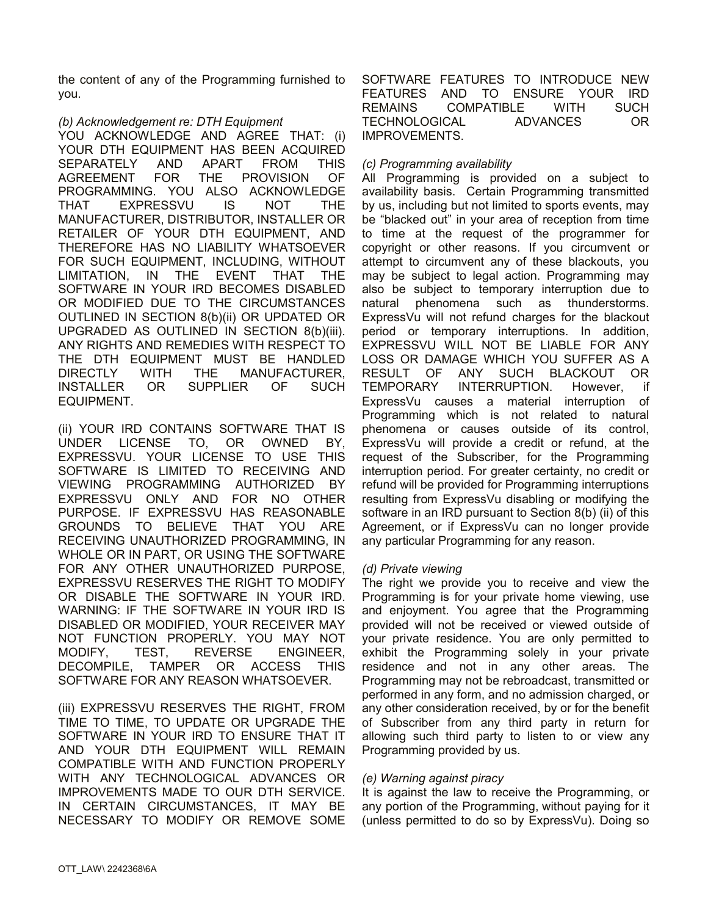the content of any of the Programming furnished to you.

### *(b) Acknowledgement re: DTH Equipment*

YOU ACKNOWLEDGE AND AGREE THAT: (i) YOUR DTH EQUIPMENT HAS BEEN ACQUIRED SEPARATELY AND APART FROM THIS AGREEMENT FOR THE PROVISION OF PROGRAMMING. YOU ALSO ACKNOWLEDGE THAT EXPRESSVU IS NOT THE MANUFACTURER, DISTRIBUTOR, INSTALLER OR RETAILER OF YOUR DTH EQUIPMENT, AND THEREFORE HAS NO LIABILITY WHATSOEVER FOR SUCH EQUIPMENT, INCLUDING, WITHOUT LIMITATION, IN THE EVENT THAT THE SOFTWARE IN YOUR IRD BECOMES DISABLED OR MODIFIED DUE TO THE CIRCUMSTANCES OUTLINED IN SECTION 8(b)(ii) OR UPDATED OR UPGRADED AS OUTLINED IN SECTION 8(b)(iii). ANY RIGHTS AND REMEDIES WITH RESPECT TO THE DTH EQUIPMENT MUST BE HANDLED DIRECTLY WITH THE MANUFACTURER, INSTALLER OR SUPPLIER OF SUCH EQUIPMENT.

(ii) YOUR IRD CONTAINS SOFTWARE THAT IS UNDER LICENSE TO, OR OWNED BY, EXPRESSVU. YOUR LICENSE TO USE THIS SOFTWARE IS LIMITED TO RECEIVING AND VIEWING PROGRAMMING AUTHORIZED BY EXPRESSVU ONLY AND FOR NO OTHER PURPOSE. IF EXPRESSVU HAS REASONABLE GROUNDS TO BELIEVE THAT YOU ARE RECEIVING UNAUTHORIZED PROGRAMMING, IN WHOLE OR IN PART, OR USING THE SOFTWARE FOR ANY OTHER UNAUTHORIZED PURPOSE, EXPRESSVU RESERVES THE RIGHT TO MODIFY OR DISABLE THE SOFTWARE IN YOUR IRD. WARNING: IF THE SOFTWARE IN YOUR IRD IS DISABLED OR MODIFIED, YOUR RECEIVER MAY NOT FUNCTION PROPERLY. YOU MAY NOT MODIFY, TEST, REVERSE ENGINEER, DECOMPILE, TAMPER OR ACCESS THIS SOFTWARE FOR ANY REASON WHATSOEVER.

(iii) EXPRESSVU RESERVES THE RIGHT, FROM TIME TO TIME, TO UPDATE OR UPGRADE THE SOFTWARE IN YOUR IRD TO ENSURE THAT IT AND YOUR DTH EQUIPMENT WILL REMAIN COMPATIBLE WITH AND FUNCTION PROPERLY WITH ANY TECHNOLOGICAL ADVANCES OR IMPROVEMENTS MADE TO OUR DTH SERVICE. IN CERTAIN CIRCUMSTANCES, IT MAY BE NECESSARY TO MODIFY OR REMOVE SOME SOFTWARE FEATURES TO INTRODUCE NEW FEATURES AND TO ENSURE YOUR IRD REMAINS COMPATIBLE WITH SUCH TECHNOLOGICAL ADVANCES OR IMPROVEMENTS.

### *(c) Programming availability*

All Programming is provided on a subject to availability basis. Certain Programming transmitted by us, including but not limited to sports events, may be "blacked out" in your area of reception from time to time at the request of the programmer for copyright or other reasons. If you circumvent or attempt to circumvent any of these blackouts, you may be subject to legal action. Programming may also be subject to temporary interruption due to natural phenomena such as thunderstorms. ExpressVu will not refund charges for the blackout period or temporary interruptions. In addition, EXPRESSVU WILL NOT BE LIABLE FOR ANY LOSS OR DAMAGE WHICH YOU SUFFER AS A RESULT OF ANY SUCH BLACKOUT OR TEMPORARY INTERRUPTION. However, if ExpressVu causes a material interruption of Programming which is not related to natural phenomena or causes outside of its control, ExpressVu will provide a credit or refund, at the request of the Subscriber, for the Programming interruption period. For greater certainty, no credit or refund will be provided for Programming interruptions resulting from ExpressVu disabling or modifying the software in an IRD pursuant to Section 8(b) (ii) of this Agreement, or if ExpressVu can no longer provide any particular Programming for any reason.

#### *(d) Private viewing*

The right we provide you to receive and view the Programming is for your private home viewing, use and enjoyment. You agree that the Programming provided will not be received or viewed outside of your private residence. You are only permitted to exhibit the Programming solely in your private residence and not in any other areas. The Programming may not be rebroadcast, transmitted or performed in any form, and no admission charged, or any other consideration received, by or for the benefit of Subscriber from any third party in return for allowing such third party to listen to or view any Programming provided by us.

#### *(e) Warning against piracy*

It is against the law to receive the Programming, or any portion of the Programming, without paying for it (unless permitted to do so by ExpressVu). Doing so